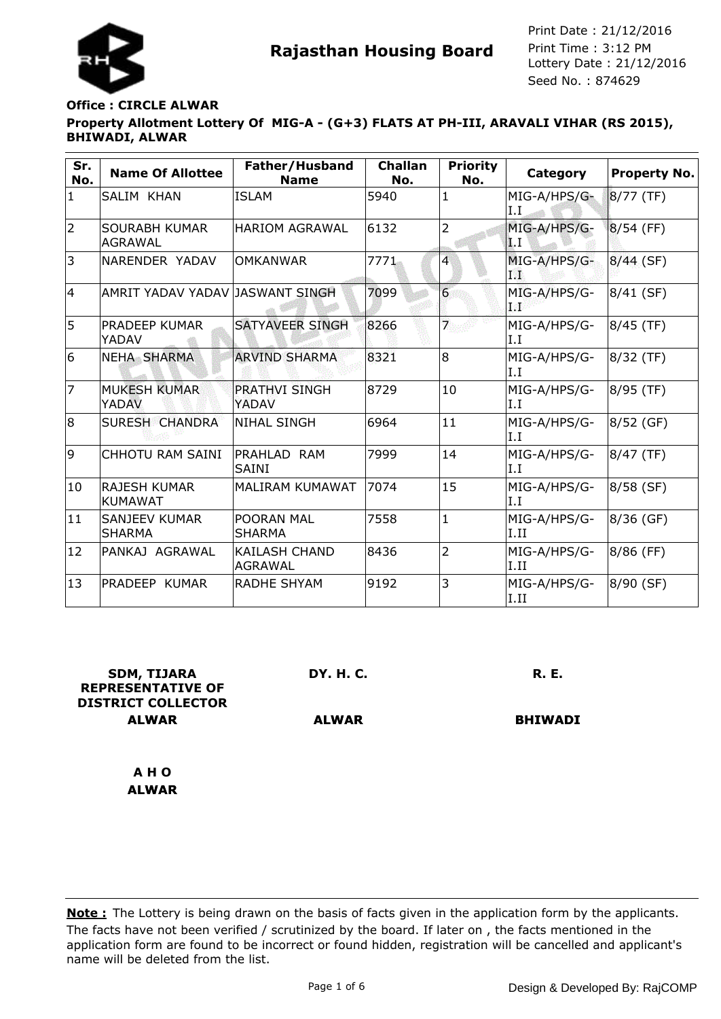

# **Property Allotment Lottery Of MIG-A - (G+3) FLATS AT PH-III, ARAVALI VIHAR (RS 2015), BHIWADI, ALWAR Office : CIRCLE ALWAR**

| Sr.<br>No.      | <b>Name Of Allottee</b>                | Father/Husband<br><b>Name</b>          | <b>Challan</b><br>No. | <b>Priority</b><br>No. | Category                       | <b>Property No.</b> |
|-----------------|----------------------------------------|----------------------------------------|-----------------------|------------------------|--------------------------------|---------------------|
| $\mathbf{1}$    | SALIM KHAN                             | <b>ISLAM</b>                           | 5940                  | 1                      | MIG-A/HPS/G-<br>I.I            | $8/77$ (TF)         |
| $\overline{2}$  | <b>SOURABH KUMAR</b><br><b>AGRAWAL</b> | HARIOM AGRAWAL                         | 6132                  | $\overline{2}$         | MIG-A/HPS/G-<br>$\mathbf{L}$ T | $8/54$ (FF)         |
| 3               | NARENDER YADAV                         | <b>OMKANWAR</b>                        | 7771                  | 4                      | MIG-A/HPS/G-<br>1978           | $8/44$ (SF)         |
| 14              | AMRIT YADAV YADAV JASWANT SINGH        |                                        | 7099                  | 6 <sup>1</sup>         | MIG-A/HPS/G-<br>فاجره          | 8/41 (SF)           |
| 5               | <b>PRADEEP KUMAR</b><br>YADAV          | SATYAVEER SINGH                        | 8266                  | 外                      | MIG-A/HPS/G-<br>I.I            | 8/45 (TF)           |
| $6\overline{6}$ | <b>NEHA SHARMA</b>                     | <b>ARVIND SHARMA</b>                   | 8321                  | 8                      | MIG-A/HPS/G-<br>I.I            | 8/32 (TF)           |
| $\overline{7}$  | <b>MUKESH KUMAR</b><br><b>YADAV</b>    | <b>PRATHVI SINGH</b><br>YADAV          | 8729                  | 10                     | MIG-A/HPS/G-<br>I.I            | 8/95 (TF)           |
| 8               | SURESH CHANDRA                         | <b>NIHAL SINGH</b>                     | 6964                  | 11                     | MIG-A/HPS/G-<br>I.I            | 8/52 (GF)           |
| 9               | <b>CHHOTU RAM SAINI</b>                | PRAHLAD RAM<br><b>SAINI</b>            | 7999                  | 14                     | MIG-A/HPS/G-<br>I.I            | 8/47 (TF)           |
| 10              | <b>RAJESH KUMAR</b><br><b>KUMAWAT</b>  | MALIRAM KUMAWAT                        | 7074                  | 15                     | MIG-A/HPS/G-<br>I.I            | 8/58 (SF)           |
| 11              | <b>SANJEEV KUMAR</b><br><b>SHARMA</b>  | POORAN MAL<br><b>SHARMA</b>            | 7558                  | 1                      | MIG-A/HPS/G-<br>I.II           | 8/36 (GF)           |
| 12              | PANKAJ AGRAWAL                         | <b>KAILASH CHAND</b><br><b>AGRAWAL</b> | 8436                  | $\overline{2}$         | MIG-A/HPS/G-<br>I.II           | 8/86 (FF)           |
| 13              | PRADEEP KUMAR                          | <b>RADHE SHYAM</b>                     | 9192                  | 3                      | MIG-A/HPS/G-<br>I.II           | 8/90 (SF)           |

| <b>SDM, TIJARA</b><br><b>REPRESENTATIVE OF</b><br><b>DISTRICT COLLECTOR</b> | <b>DY. H. C.</b> | <b>R. E.</b>   |
|-----------------------------------------------------------------------------|------------------|----------------|
| <b>ALWAR</b>                                                                | <b>ALWAR</b>     | <b>BHIWADI</b> |
| A H O<br><b>ALWAR</b>                                                       |                  |                |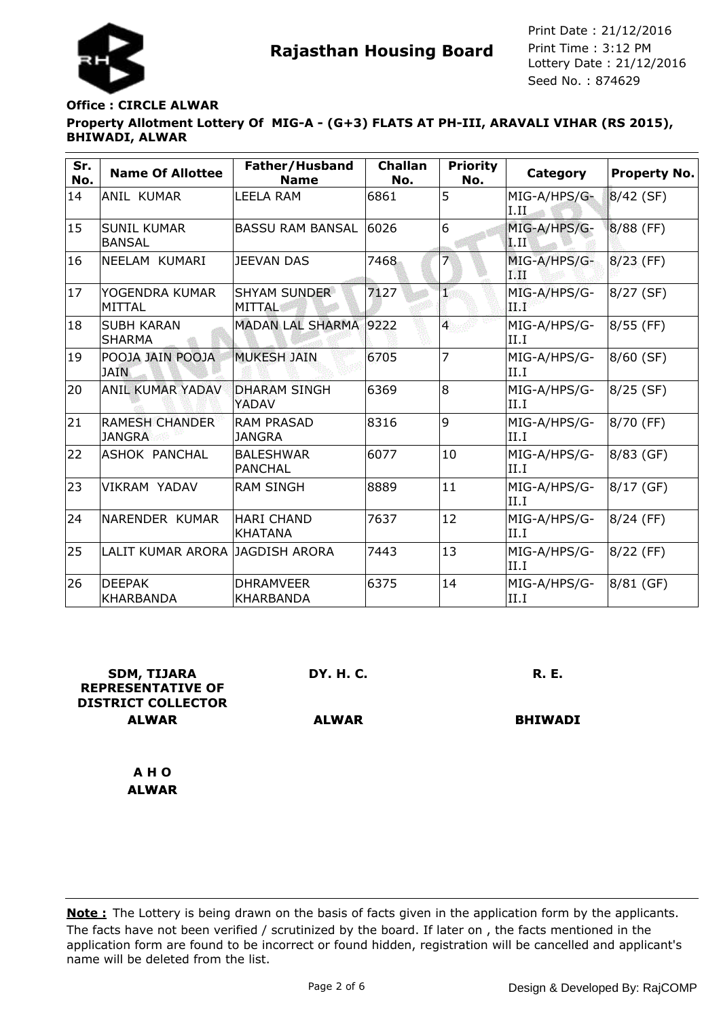

# **Property Allotment Lottery Of MIG-A - (G+3) FLATS AT PH-III, ARAVALI VIHAR (RS 2015), BHIWADI, ALWAR Office : CIRCLE ALWAR**

| Sr.<br>No. | <b>Name Of Allottee</b>                | Father/Husband<br><b>Name</b>        | <b>Challan</b><br>No. | <b>Priority</b><br>No. | Category                | <b>Property No.</b> |
|------------|----------------------------------------|--------------------------------------|-----------------------|------------------------|-------------------------|---------------------|
| 14         | ANIL KUMAR                             | <b>LEELA RAM</b>                     | 6861                  | 5                      | MIG-A/HPS/G-<br>I.II    | $8/42$ (SF)         |
| 15         | <b>SUNIL KUMAR</b><br><b>BANSAL</b>    | <b>BASSU RAM BANSAL</b>              | 6026                  | 6                      | MIG-A/HPS/G-<br>11. II' | 8/88 (FF)           |
| 16         | NEELAM KUMARI                          | JEEVAN DAS                           | 7468                  |                        | MIG-A/HPS/G-<br>TМ      | $8/23$ (FF)         |
| 17         | YOGENDRA KUMAR<br><b>MITTAL</b>        | <b>SHYAM SUNDER</b><br><b>MITTAL</b> | 7127                  | T                      | MIG-A/HPS/G-<br>435     | 8/27 (SF)           |
| 18         | <b>SUBH KARAN</b><br><b>SHARMA</b>     | <b>MADAN LAL SHARMA</b>              | 9222                  | $\overline{4}$         | MIG-A/HPS/G-<br>II.I    | 8/55 (FF)           |
| 19         | POOJA JAIN POOJA<br><b>JAIN</b>        | <b>MUKESH JAIN</b>                   | 6705                  | 7                      | MIG-A/HPS/G-<br>II.I    | 8/60 (SF)           |
| 20         | <b>ANIL KUMAR YADAV</b>                | <b>DHARAM SINGH</b><br>YADAV         | 6369                  | $\overline{8}$         | MIG-A/HPS/G-<br>II.I    | 8/25 (SF)           |
| 21         | <b>RAMESH CHANDER</b><br><b>JANGRA</b> | <b>RAM PRASAD</b><br><b>JANGRA</b>   | 8316                  | 9                      | MIG-A/HPS/G-<br>II.I    | 8/70 (FF)           |
| 22         | <b>ASHOK PANCHAL</b>                   | <b>BALESHWAR</b><br><b>PANCHAL</b>   | 6077                  | 10                     | MIG-A/HPS/G-<br>II.I    | 8/83 (GF)           |
| 23         | VIKRAM YADAV                           | <b>RAM SINGH</b>                     | 8889                  | 11                     | MIG-A/HPS/G-<br>II.I    | 8/17 (GF)           |
| 24         | NARENDER KUMAR                         | <b>HARI CHAND</b><br><b>KHATANA</b>  | 7637                  | 12                     | MIG-A/HPS/G-<br>II.I    | 8/24 (FF)           |
| 25         | LALIT KUMAR ARORA JAGDISH ARORA        |                                      | 7443                  | 13                     | MIG-A/HPS/G-<br>II.I    | 8/22 (FF)           |
| 26         | <b>DEEPAK</b><br><b>KHARBANDA</b>      | <b>DHRAMVEER</b><br>KHARBANDA        | 6375                  | 14                     | MIG-A/HPS/G-<br>II.I    | 8/81 (GF)           |

| <b>SDM, TIJARA</b><br><b>REPRESENTATIVE OF</b><br><b>DISTRICT COLLECTOR</b> | <b>DY. H. C.</b> | <b>R. E.</b>   |
|-----------------------------------------------------------------------------|------------------|----------------|
| <b>ALWAR</b>                                                                | <b>ALWAR</b>     | <b>BHIWADI</b> |
|                                                                             |                  |                |
| A H O                                                                       |                  |                |
| <b>ALWAR</b>                                                                |                  |                |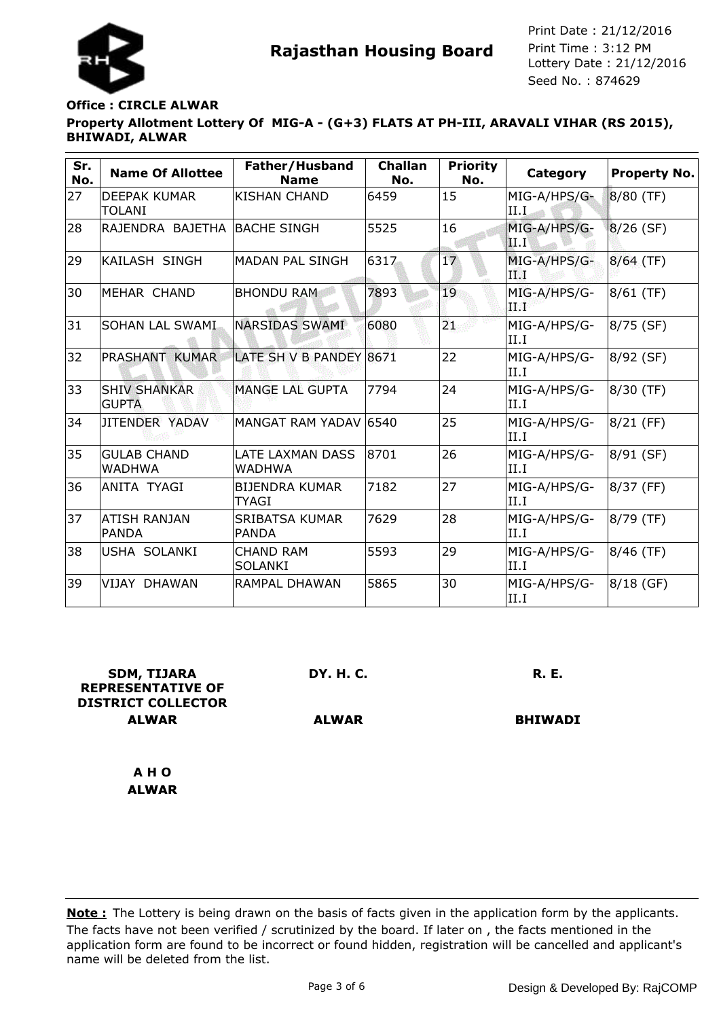

# **Office : CIRCLE ALWAR**

# **Property Allotment Lottery Of MIG-A - (G+3) FLATS AT PH-III, ARAVALI VIHAR (RS 2015), BHIWADI, ALWAR**

| Sr.<br>No. | <b>Name Of Allottee</b>              | Father/Husband<br><b>Name</b>         | <b>Challan</b><br>No. | <b>Priority</b><br>No. | <b>Category</b>       | <b>Property No.</b> |
|------------|--------------------------------------|---------------------------------------|-----------------------|------------------------|-----------------------|---------------------|
| 27         | <b>DEEPAK KUMAR</b><br><b>TOLANI</b> | <b>KISHAN CHAND</b>                   | 6459                  | 15                     | MIG-A/HPS/G-<br>II.I  | 8/80 (TF)           |
| 28         | RAJENDRA BAJETHA BACHE SINGH         |                                       | 5525                  | 16                     | MIG-A/HPS/G-<br>HI.I' | $8/26$ (SF)         |
| 29         | <b>KAILASH SINGH</b>                 | <b>MADAN PAL SINGH</b>                | 6317                  | 17                     | MIG-A/HPS/G-<br>TK    | $8/64$ (TF)         |
| 30         | IMEHAR CHAND                         | <b>BHONDU RAM</b>                     | 7893                  | 19                     | MIG-A/HPS/G-<br>a Bi  | 8/61 (TF)           |
| 31         | <b>SOHAN LAL SWAMI</b>               | NARSIDAS SWAMI                        | 6080                  | 21                     | MIG-A/HPS/G-<br>II.I  | 8/75 (SF)           |
| 32         | PRASHANT KUMAR                       | LATE SH V B PANDEY 8671               |                       | 22                     | MIG-A/HPS/G-<br>II.I  | 8/92 (SF)           |
| 33         | <b>SHIV SHANKAR</b><br><b>GUPTA</b>  | <b>MANGE LAL GUPTA</b>                | 7794                  | 24                     | MIG-A/HPS/G-<br>II.I  | 8/30 (TF)           |
| 34         | JITENDER YADAV                       | MANGAT RAM YADAV 6540                 |                       | 25                     | MIG-A/HPS/G-<br>II.I  | 8/21 (FF)           |
| 35         | <b>GULAB CHAND</b><br><b>WADHWA</b>  | LATE LAXMAN DASS<br><b>WADHWA</b>     | 8701                  | 26                     | MIG-A/HPS/G-<br>II.I  | 8/91 (SF)           |
| 36         | ANITA TYAGI                          | <b>BIJENDRA KUMAR</b><br><b>TYAGI</b> | 7182                  | 27                     | MIG-A/HPS/G-<br>II.I  | 8/37 (FF)           |
| 37         | <b>ATISH RANJAN</b><br><b>PANDA</b>  | <b>SRIBATSA KUMAR</b><br><b>PANDA</b> | 7629                  | 28                     | MIG-A/HPS/G-<br>II.I  | 8/79 (TF)           |
| 38         | USHA SOLANKI                         | <b>CHAND RAM</b><br><b>SOLANKI</b>    | 5593                  | 29                     | MIG-A/HPS/G-<br>II.I  | 8/46 (TF)           |
| 39         | <b>VIJAY DHAWAN</b>                  | RAMPAL DHAWAN                         | 5865                  | 30                     | MIG-A/HPS/G-<br>II.I  | 8/18 (GF)           |

| <b>SDM, TIJARA</b><br><b>REPRESENTATIVE OF</b><br><b>DISTRICT COLLECTOR</b> | <b>DY. H. C.</b> | <b>R. E.</b>   |
|-----------------------------------------------------------------------------|------------------|----------------|
| <b>ALWAR</b>                                                                | <b>ALWAR</b>     | <b>BHIWADI</b> |
|                                                                             |                  |                |
| A H O                                                                       |                  |                |
| <b>ALWAR</b>                                                                |                  |                |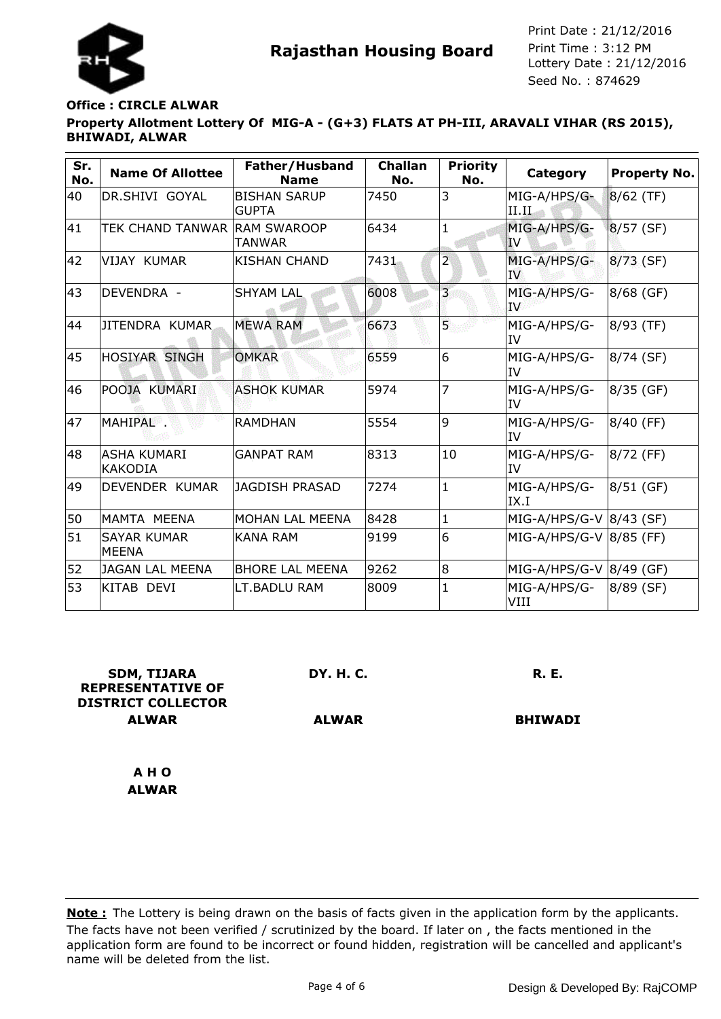

# **Property Allotment Lottery Of MIG-A - (G+3) FLATS AT PH-III, ARAVALI VIHAR (RS 2015), BHIWADI, ALWAR Office : CIRCLE ALWAR**

| Sr.<br>No. | <b>Name Of Allottee</b>              | Father/Husband<br><b>Name</b>       | <b>Challan</b><br>No. | <b>Priority</b><br>No.  | Category                     | Property No. |
|------------|--------------------------------------|-------------------------------------|-----------------------|-------------------------|------------------------------|--------------|
| 40         | DR.SHIVI GOYAL                       | <b>BISHAN SARUP</b><br><b>GUPTA</b> | 7450                  | 3                       | MIG-A/HPS/G-<br>II.IL        | $8/62$ (TF)  |
| 41         | TEK CHAND TANWAR RAM SWAROOP         | <b>TANWAR</b>                       | 6434                  | $\mathbf{1}$            | MIG-A/HPS/G-<br>IV           | 8/57 (SF)    |
| 42         | <b>VIJAY KUMAR</b>                   | <b>KISHAN CHAND</b>                 | 7431                  | $\overline{2}$          | MIG-A/HPS/G-<br>$\mathbf{N}$ | $8/73$ (SF)  |
| 43         | DEVENDRA -                           | <b>SHYAM LAL</b>                    | 6008                  | $\overline{\mathbf{3}}$ | MIG-A/HPS/G-<br>ЛV           | 8/68 (GF)    |
| 44         | JITENDRA KUMAR                       | <b>MEWA RAM</b>                     | 6673                  | 5.                      | MIG-A/HPS/G-<br>IV           | 8/93 (TF)    |
| 45         | <b>HOSIYAR SINGH</b>                 | <b>OMKAR</b>                        | 6559                  | 6                       | MIG-A/HPS/G-<br><b>IV</b>    | 8/74 (SF)    |
| 46         | POOJA KUMARI                         | <b>ASHOK KUMAR</b>                  | 5974                  | 7                       | MIG-A/HPS/G-<br>IV           | 8/35 (GF)    |
| 47         | MAHIPAL <sup>®</sup> .               | <b>RAMDHAN</b>                      | 5554                  | 9                       | MIG-A/HPS/G-<br>lIV          | 8/40 (FF)    |
| 48         | <b>ASHA KUMARI</b><br><b>KAKODIA</b> | <b>GANPAT RAM</b>                   | 8313                  | 10                      | MIG-A/HPS/G-<br><b>IV</b>    | 8/72 (FF)    |
| 49         | DEVENDER KUMAR                       | <b>JAGDISH PRASAD</b>               | 7274                  | $\mathbf{1}$            | MIG-A/HPS/G-<br>IX.I         | 8/51 (GF)    |
| 50         | IMAMTA MEENA                         | <b>MOHAN LAL MEENA</b>              | 8428                  | $\mathbf{1}$            | MIG-A/HPS/G-V 8/43 (SF)      |              |
| 51         | <b>SAYAR KUMAR</b><br><b>MEENA</b>   | <b>KANA RAM</b>                     | 9199                  | 6                       | MIG-A/HPS/G-V 8/85 (FF)      |              |
| 52         | <b>JAGAN LAL MEENA</b>               | <b>BHORE LAL MEENA</b>              | 9262                  | 8                       | MIG-A/HPS/G-V 8/49 (GF)      |              |
| 53         | KITAB DEVI                           | LT.BADLU RAM                        | 8009                  | 1                       | MIG-A/HPS/G-<br>VIII         | 8/89 (SF)    |

| <b>SDM, TIJARA</b><br><b>REPRESENTATIVE OF</b><br><b>DISTRICT COLLECTOR</b> | <b>DY. H. C.</b> | <b>R. E.</b>   |
|-----------------------------------------------------------------------------|------------------|----------------|
| <b>ALWAR</b>                                                                | <b>ALWAR</b>     | <b>BHIWADI</b> |
| A H O                                                                       |                  |                |
| <b>ALWAR</b>                                                                |                  |                |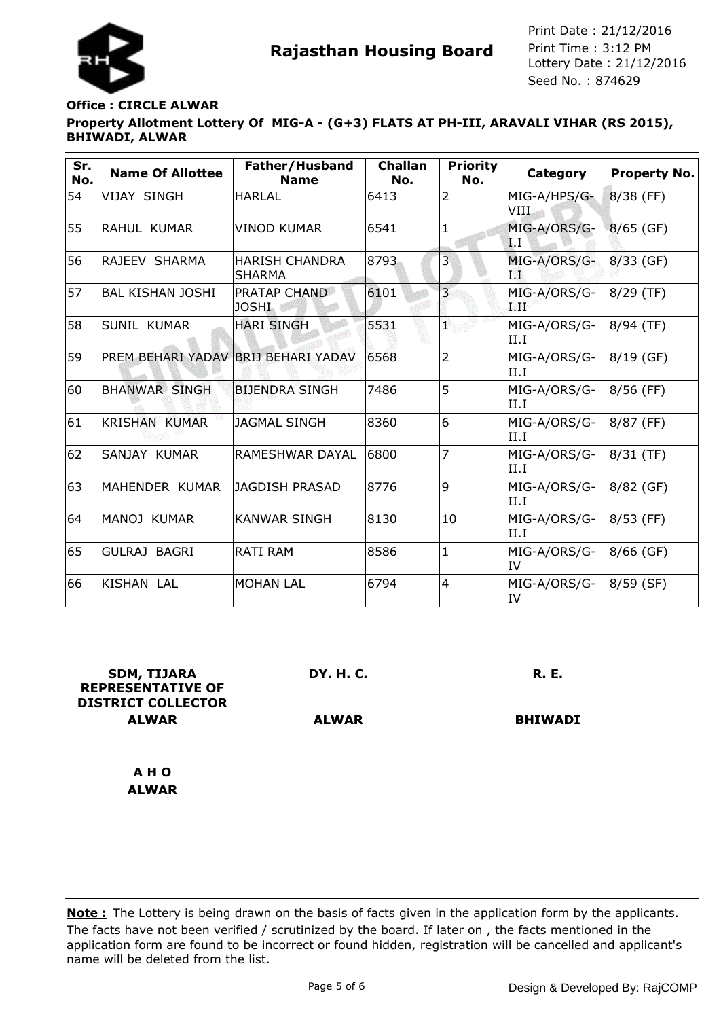

# **Property Allotment Lottery Of MIG-A - (G+3) FLATS AT PH-III, ARAVALI VIHAR (RS 2015), BHIWADI, ALWAR Office : CIRCLE ALWAR**

| Sr.<br>No. | <b>Name Of Allottee</b>             | Father/Husband<br><b>Name</b>          | <b>Challan</b><br>No. | <b>Priority</b><br>No.  | Category                 | <b>Property No.</b> |
|------------|-------------------------------------|----------------------------------------|-----------------------|-------------------------|--------------------------|---------------------|
| 54         | VIJAY SINGH                         | <b>HARLAL</b>                          | 6413                  | 2                       | MIG-A/HPS/G-<br>VIII     | $8/38$ (FF)         |
| 55         | RAHUL KUMAR                         | <b>VINOD KUMAR</b>                     | 6541                  | $\mathbf{1}$            | MIG-A/ORS/G-<br>1. I     | $8/65$ (GF)         |
| 56         | RAJEEV SHARMA                       | <b>HARISH CHANDRA</b><br><b>SHARMA</b> | 8793                  | 3                       | MIG-A/ORS/G-<br>哦        | $8/33$ (GF)         |
| 57         | <b>BAL KISHAN JOSHI</b>             | <b>PRATAP CHAND</b><br><b>JOSHI</b>    | 6101                  | $\overline{\mathbf{3}}$ | MIG-A/ORS/G-<br>di Silve | 8/29 (TF)           |
| 58         | SUNIL KUMAR                         | <b>HARI SINGH</b>                      | 5531                  | T.                      | MIG-A/ORS/G-<br>II.I     | 8/94 (TF)           |
| 59         | PREM BEHARI YADAV BRIJ BEHARI YADAV |                                        | 6568                  | $\overline{2}$          | MIG-A/ORS/G-<br>II.I     | 8/19 (GF)           |
| 60         | <b>BHANWAR SINGH</b>                | <b>BIJENDRA SINGH</b>                  | 7486                  | 5                       | MIG-A/ORS/G-<br>III.I    | 8/56 (FF)           |
| 61         | KRISHAN KUMAR                       | <b>JAGMAL SINGH</b>                    | 8360                  | 6                       | MIG-A/ORS/G-<br>II.I     | 8/87 (FF)           |
| 62         | SANJAY KUMAR                        | RAMESHWAR DAYAL                        | 6800                  | 7                       | MIG-A/ORS/G-<br>II.I     | 8/31 (TF)           |
| 63         | MAHENDER KUMAR                      | <b>JAGDISH PRASAD</b>                  | 8776                  | 9                       | MIG-A/ORS/G-<br>II.I     | 8/82 (GF)           |
| 64         | MANOJ KUMAR                         | <b>KANWAR SINGH</b>                    | 8130                  | 10                      | MIG-A/ORS/G-<br>II.I     | 8/53 (FF)           |
| 65         | <b>GULRAJ BAGRI</b>                 | <b>RATI RAM</b>                        | 8586                  | $\mathbf{1}$            | MIG-A/ORS/G-<br>lIV      | 8/66 (GF)           |
| 66         | <b>KISHAN LAL</b>                   | <b>MOHAN LAL</b>                       | 6794                  | $\overline{4}$          | MIG-A/ORS/G-<br>lIV      | 8/59 (SF)           |

| <b>SDM, TIJARA</b><br><b>REPRESENTATIVE OF</b><br><b>DISTRICT COLLECTOR</b> | <b>DY. H. C.</b> | <b>R. E.</b>   |
|-----------------------------------------------------------------------------|------------------|----------------|
| <b>ALWAR</b>                                                                | <b>ALWAR</b>     | <b>BHIWADI</b> |
| AHO                                                                         |                  |                |
| <b>ALWAR</b>                                                                |                  |                |